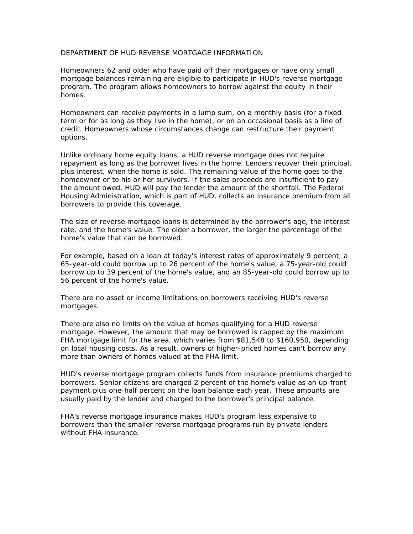## DEPARTMENT OF HUD REVERSE MORTGAGE INFORMATION

Homeowners 62 and older who have paid off their mortgages or have only small mortgage balances remaining are eligible to participate in HUD's reverse mortgage program. The program allows homeowners to borrow against the equity in their homes.

Homeowners can receive payments in a lump sum, on a monthly basis (for a fixed term or for as long as they live in the home), or on an occasional basis as a line of credit. Homeowners whose circumstances change can restructure their payment options.

Unlike ordinary home equity loans, a HUD reverse mortgage does not require repayment as long as the borrower lives in the home. Lenders recover their principal, plus interest, when the home is sold. The remaining value of the home goes to the homeowner or to his or her survivors. If the sales proceeds are insufficient to pay the amount owed, HUD will pay the lender the amount of the shortfall. The Federal Housing Administration, which is part of HUD, collects an insurance premium from all borrowers to provide this coverage.

The size of reverse mortgage loans is determined by the borrower's age, the interest rate, and the home's value. The older a borrower, the larger the percentage of the home's value that can be borrowed.

For example, based on a loan at today's interest rates of approximately 9 percent, a 65-year-old could borrow up to 26 percent of the home's value, a 75-year-old could borrow up to 39 percent of the home's value, and an 85-year-old could borrow up to 56 percent of the home's value.

There are no asset or income limitations on borrowers receiving HUD's reverse mortgages.

There are also no limits on the value of homes qualifying for a HUD reverse mortgage. However, the amount that may be borrowed is capped by the maximum FHA mortgage limit for the area, which varies from \$81,548 to \$160,950, depending on local housing costs. As a result, owners of higher-priced homes can't borrow any more than owners of homes valued at the FHA limit.

HUD's reverse mortgage program collects funds from insurance premiums charged to borrowers. Senior citizens are charged 2 percent of the home's value as an up-front payment plus one-half percent on the loan balance each year. These amounts are usually paid by the lender and charged to the borrower's principal balance.

FHA's reverse mortgage insurance makes HUD's program less expensive to borrowers than the smaller reverse mortgage programs run by private lenders without FHA insurance.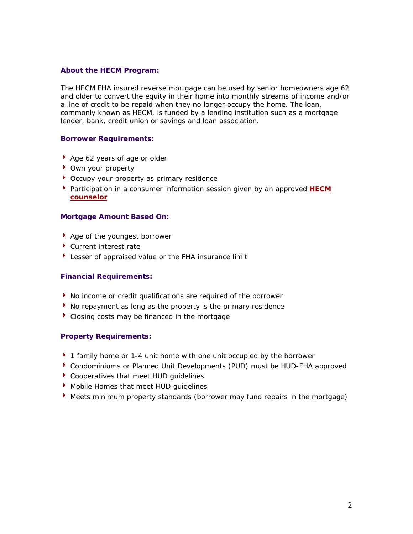## **About the HECM Program:**

The HECM FHA insured reverse mortgage can be used by senior homeowners age 62 and older to convert the equity in their home into monthly streams of income and/or a line of credit to be repaid when they no longer occupy the home. The loan, commonly known as HECM, is funded by a lending institution such as a mortgage lender, bank, credit union or savings and loan association.

## **Borrower Requirements:**

- ▶ Age 62 years of age or older
- ▶ Own your property
- ▶ Occupy your property as primary residence
- **Participation in a consumer information session given by an approved HECM counselor**

## **Mortgage Amount Based On:**

- ▶ Age of the youngest borrower
- ▶ Current interest rate
- Lesser of appraised value or the FHA insurance limit

#### **Financial Requirements:**

- No income or credit qualifications are required of the borrower
- $\blacktriangleright$  No repayment as long as the property is the primary residence
- Closing costs may be financed in the mortgage

## **Property Requirements:**

- ▶ 1 family home or 1-4 unit home with one unit occupied by the borrower
- Condominiums or Planned Unit Developments (PUD) must be HUD-FHA approved
- ▶ Cooperatives that meet HUD quidelines
- Mobile Homes that meet HUD quidelines
- Meets minimum property standards (borrower may fund repairs in the mortgage)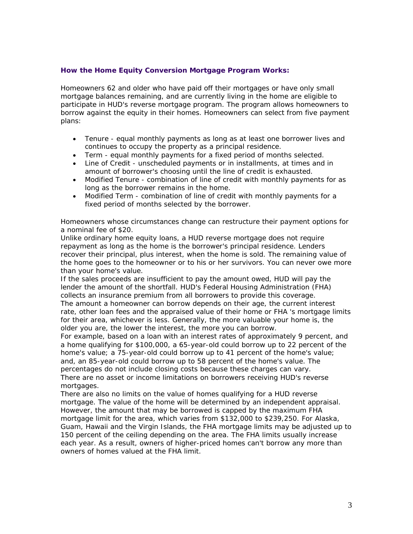## **How the Home Equity Conversion Mortgage Program Works:**

Homeowners 62 and older who have paid off their mortgages or have only small mortgage balances remaining, and are currently living in the home are eligible to participate in HUD's reverse mortgage program. The program allows homeowners to borrow against the equity in their homes. Homeowners can select from five payment plans:

- Tenure equal monthly payments as long as at least one borrower lives and continues to occupy the property as a principal residence.
- Term equal monthly payments for a fixed period of months selected.
- Line of Credit unscheduled payments or in installments, at times and in amount of borrower's choosing until the line of credit is exhausted.
- Modified Tenure combination of line of credit with monthly payments for as long as the borrower remains in the home.
- Modified Term combination of line of credit with monthly payments for a fixed period of months selected by the borrower.

Homeowners whose circumstances change can restructure their payment options for a nominal fee of \$20.

Unlike ordinary home equity loans, a HUD reverse mortgage does not require repayment as long as the home is the borrower's principal residence. Lenders recover their principal, plus interest, when the home is sold. The remaining value of the home goes to the homeowner or to his or her survivors. You can never owe more than your home's value.

If the sales proceeds are insufficient to pay the amount owed, HUD will pay the lender the amount of the shortfall. HUD's Federal Housing Administration (FHA) collects an insurance premium from all borrowers to provide this coverage. The amount a homeowner can borrow depends on their age, the current interest rate, other loan fees and the appraised value of their home or FHA 's mortgage limits for their area, whichever is less. Generally, the more valuable your home is, the older you are, the lower the interest, the more you can borrow.

For example, based on a loan with an interest rates of approximately 9 percent, and a home qualifying for \$100,000, a 65-year-old could borrow up to 22 percent of the home's value; a 75-year-old could borrow up to 41 percent of the home's value; and, an 85-year-old could borrow up to 58 percent of the home's value. The percentages do not include closing costs because these charges can vary. There are no asset or income limitations on borrowers receiving HUD's reverse mortgages.

There are also no limits on the value of homes qualifying for a HUD reverse mortgage. The value of the home will be determined by an independent appraisal. However, the amount that may be borrowed is capped by the maximum FHA mortgage limit for the area, which varies from \$132,000 to \$239,250. For Alaska, Guam, Hawaii and the Virgin Islands, the FHA mortgage limits may be adjusted up to 150 percent of the ceiling depending on the area. The FHA limits usually increase each year. As a result, owners of higher-priced homes can't borrow any more than owners of homes valued at the FHA limit.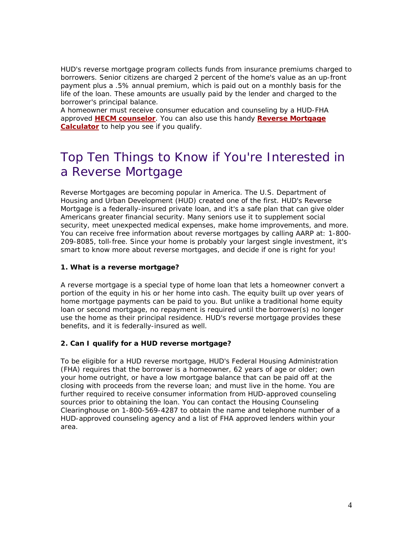HUD's reverse mortgage program collects funds from insurance premiums charged to borrowers. Senior citizens are charged 2 percent of the home's value as an up-front payment plus a .5% annual premium, which is paid out on a monthly basis for the life of the loan. These amounts are usually paid by the lender and charged to the borrower's principal balance.

A homeowner must receive consumer education and counseling by a HUD-FHA approved **HECM counselor**. You can also use this handy **Reverse Mortgage Calculator** to help you see if you qualify.

# Top Ten Things to Know if You're Interested in a Reverse Mortgage

Reverse Mortgages are becoming popular in America. The U.S. Department of Housing and Urban Development (HUD) created one of the first. HUD's Reverse Mortgage is a federally-insured private loan, and it's a safe plan that can give older Americans greater financial security. Many seniors use it to supplement social security, meet unexpected medical expenses, make home improvements, and more. You can receive free information about reverse mortgages by calling AARP at: 1-800- 209-8085, toll-free. Since your home is probably your largest single investment, it's smart to know more about reverse mortgages, and decide if one is right for you!

# **1. What is a reverse mortgage?**

A reverse mortgage is a special type of home loan that lets a homeowner convert a portion of the equity in his or her home into cash. The equity built up over years of home mortgage payments can be paid to you. But unlike a traditional home equity loan or second mortgage, no repayment is required until the borrower(s) no longer use the home as their principal residence. HUD's reverse mortgage provides these benefits, and it is federally-insured as well.

# **2. Can I qualify for a HUD reverse mortgage?**

To be eligible for a HUD reverse mortgage, HUD's Federal Housing Administration (FHA) requires that the borrower is a homeowner, 62 years of age or older; own your home outright, or have a low mortgage balance that can be paid off at the closing with proceeds from the reverse loan; and must live in the home. You are further required to receive consumer information from HUD-approved counseling sources prior to obtaining the loan. You can contact the Housing Counseling Clearinghouse on 1-800-569-4287 to obtain the name and telephone number of a HUD-approved counseling agency and a list of FHA approved lenders within your area.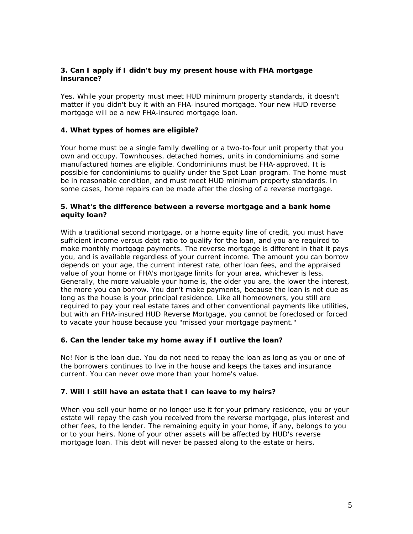# **3. Can I apply if I didn't buy my present house with FHA mortgage insurance?**

Yes. While your property must meet HUD minimum property standards, it doesn't matter if you didn't buy it with an FHA-insured mortgage. Your new HUD reverse mortgage will be a new FHA-insured mortgage loan.

## **4. What types of homes are eligible?**

Your home must be a single family dwelling or a two-to-four unit property that you own and occupy. Townhouses, detached homes, units in condominiums and some manufactured homes are eligible. Condominiums must be FHA-approved. It is possible for condominiums to qualify under the Spot Loan program. The home must be in reasonable condition, and must meet HUD minimum property standards. In some cases, home repairs can be made after the closing of a reverse mortgage.

# **5. What's the difference between a reverse mortgage and a bank home equity loan?**

With a traditional second mortgage, or a home equity line of credit, you must have sufficient income versus debt ratio to qualify for the loan, and you are required to make monthly mortgage payments. The reverse mortgage is different in that it pays you, and is available regardless of your current income. The amount you can borrow depends on your age, the current interest rate, other loan fees, and the appraised value of your home or FHA's mortgage limits for your area, whichever is less. Generally, the more valuable your home is, the older you are, the lower the interest, the more you can borrow. You don't make payments, because the loan is not due as long as the house is your principal residence. Like all homeowners, you still are required to pay your real estate taxes and other conventional payments like utilities, but with an FHA-insured HUD Reverse Mortgage, you cannot be foreclosed or forced to vacate your house because you "missed your mortgage payment."

## **6. Can the lender take my home away if I outlive the loan?**

No! Nor is the loan due. You do not need to repay the loan as long as you or one of the borrowers continues to live in the house and keeps the taxes and insurance current. You can never owe more than your home's value.

## **7. Will I still have an estate that I can leave to my heirs?**

When you sell your home or no longer use it for your primary residence, you or your estate will repay the cash you received from the reverse mortgage, plus interest and other fees, to the lender. The remaining equity in your home, if any, belongs to you or to your heirs. None of your other assets will be affected by HUD's reverse mortgage loan. This debt will never be passed along to the estate or heirs.